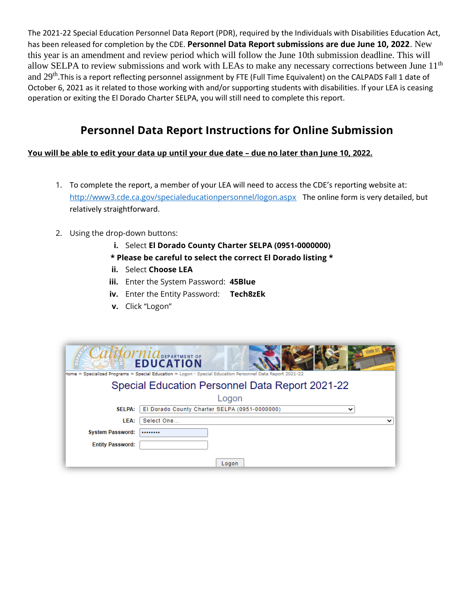The 2021-22 Special Education Personnel Data Report (PDR), required by the Individuals with Disabilities Education Act, has been released for completion by the CDE. **Personnel Data Report submissions are due June 10, 2022**. New this year is an amendment and review period which will follow the June 10th submission deadline. This will allow SELPA to review submissions and work with LEAs to make any necessary corrections between June  $11<sup>th</sup>$ and 29<sup>th</sup>.This is a report reflecting personnel assignment by FTE (Full Time Equivalent) on the CALPADS Fall 1 date of October 6, 2021 as it related to those working with and/or supporting students with disabilities. If your LEA is ceasing operation or exiting the El Dorado Charter SELPA, you will still need to complete this report.

## **Personnel Data Report Instructions for Online Submission**

**You will be able to edit your data up until your due date – due no later than June 10, 2022.**

- 1. To complete the report, a member of your LEA will need to access the CDE's reporting website at: <http://www3.cde.ca.gov/specialeducationpersonnel/logon.aspx>The online form is very detailed, but relatively straightforward.
- 2. Using the drop-down buttons:
	- **i.** Select **El Dorado County Charter SELPA (0951-0000000)**
	- **\* Please be careful to select the correct El Dorado listing \***
	- **ii.** Select **Choose LEA**
	- **iii.** Enter the System Password: **45Blue**
	- **iv.** Enter the Entity Password: **Tech8zEk**
	- **v.** Click "Logon"

| <b>COMMICLO DEPARTMENT OF</b><br><b>EDUCATION</b><br>Home » Specialized Programs » Special Education » Logon - Special Education Personnel Data Report 2021-22 |                                                    |  |  |
|----------------------------------------------------------------------------------------------------------------------------------------------------------------|----------------------------------------------------|--|--|
| Special Education Personnel Data Report 2021-22                                                                                                                |                                                    |  |  |
|                                                                                                                                                                | Logon                                              |  |  |
| <b>SELPA:</b>                                                                                                                                                  | El Dorado County Charter SELPA (0951-0000000)<br>丷 |  |  |
| LEA:                                                                                                                                                           | Select One<br>$\checkmark$                         |  |  |
| <b>System Password:</b>                                                                                                                                        |                                                    |  |  |
| <b>Entity Password:</b>                                                                                                                                        |                                                    |  |  |
|                                                                                                                                                                | Logon                                              |  |  |